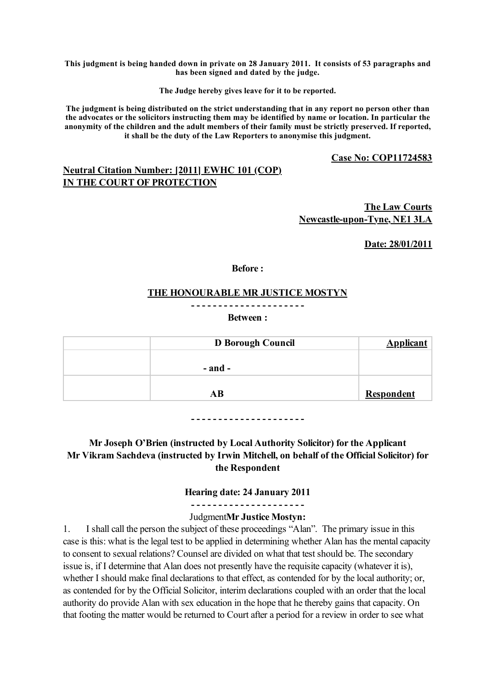**This judgment is being handed down in private on 28 January 2011. It consists of 53 paragraphs and has been signed and dated by the judge.**

**The Judge hereby gives leave for it to be reported.**

**The judgment is being distributed on the strict understanding that in any report no person other than the advocates or the solicitors instructing them may be identified by name or location. In particular the anonymity of the children and the adult members of their family must be strictly preserved. If reported, it shall be the duty of the Law Reporters to anonymise this judgment.**

**Case No: COP11724583**

## **Neutral Citation Number: [2011] EWHC 101 (COP) IN THE COURT OF PROTECTION**

**The Law Courts Newcastle-upon-Tyne, NE1 3LA**

**Date: 28/01/2011**

**Before :**

#### **THE HONOURABLE MR JUSTICE MOSTYN**

**- - - - - - - - - - - - - - - - - - - - -**

**Between :**

| D Borough Council | <b>Applicant</b>  |
|-------------------|-------------------|
|                   |                   |
| - and -           |                   |
|                   |                   |
| AB                | <b>Respondent</b> |

**- - - - - - - - - - - - - - - - - - - - -**

**Mr Joseph O'Brien (instructed by Local Authority Solicitor) for the Applicant Mr Vikram Sachdeva (instructed by Irwin Mitchell, on behalf of the Official Solicitor) for the Respondent**

**Hearing date: 24 January 2011**

**- - - - - - - - - - - - - - - - - - - - -** Judgment**Mr Justice Mostyn:**

1. I shall call the person the subject of these proceedings "Alan". The primary issue in this case is this: what is the legal test to be applied in determining whether Alan has the mental capacity to consent to sexual relations? Counsel are divided on what that test should be. The secondary issue is, if I determine that Alan does not presently have the requisite capacity (whatever it is), whether I should make final declarations to that effect, as contended for by the local authority; or, as contended for by the Official Solicitor, interim declarations coupled with an order that the local authority do provide Alan with sex education in the hope that he thereby gains that capacity. On that footing the matter would be returned to Court after a period for a review in order to see what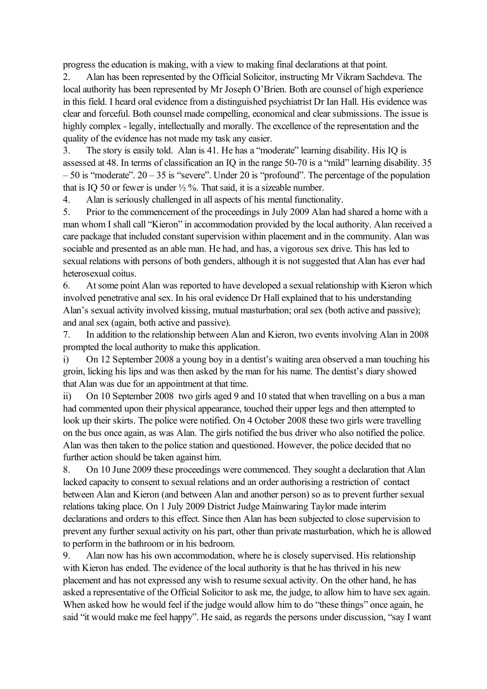progress the education is making, with a view to making final declarations at that point.

2. Alan has been represented by the Official Solicitor, instructing Mr Vikram Sachdeva. The local authority has been represented by Mr Joseph O'Brien. Both are counsel of high experience in this field. I heard oral evidence from a distinguished psychiatrist Dr Ian Hall. His evidence was clear and forceful. Both counsel made compelling, economical and clear submissions. The issue is highly complex - legally, intellectually and morally. The excellence of the representation and the quality of the evidence has not made my task any easier.

3. The story is easily told. Alan is 41. He has a "moderate" learning disability. His IQ is assessed at 48. In terms of classification an IQ in the range 50-70 is a "mild" learning disability. 35  $-50$  is "moderate".  $20 - 35$  is "severe". Under 20 is "profound". The percentage of the population that is IQ 50 or fewer is under  $\frac{1}{2}$ %. That said, it is a sizeable number.

4. Alan is seriously challenged in all aspects of his mental functionality.

5. Prior to the commencement of the proceedings in July 2009 Alan had shared a home with a man whom I shall call "Kieron" in accommodation provided by the local authority. Alan received a care package that included constant supervision within placement and in the community. Alan was sociable and presented as an able man. He had, and has, a vigorous sex drive. This has led to sexual relations with persons of both genders, although it is not suggested that Alan has ever had heterosexual coitus.

6. At some point Alan was reported to have developed a sexual relationship with Kieron which involved penetrative anal sex. In his oral evidence Dr Hall explained that to his understanding Alan's sexual activity involved kissing, mutual masturbation; oral sex (both active and passive); and anal sex (again, both active and passive).

7. In addition to the relationship between Alan and Kieron, two events involving Alan in 2008 prompted the local authority to make this application.

i) On 12 September 2008 a young boy in a dentist's waiting area observed a man touching his groin, licking his lips and was then asked by the man for his name. The dentist's diary showed that Alan was due for an appointment at that time.

ii) On 10 September 2008 two girls aged 9 and 10 stated that when travelling on a bus a man had commented upon their physical appearance, touched their upper legs and then attempted to look up their skirts. The police were notified. On 4 October 2008 these two girls were travelling on the bus once again, as was Alan. The girls notified the bus driver who also notified the police. Alan was then taken to the police station and questioned. However, the police decided that no further action should be taken against him.

8. On 10 June 2009 these proceedings were commenced. They sought a declaration that Alan lacked capacity to consent to sexual relations and an order authorising a restriction of contact between Alan and Kieron (and between Alan and another person) so as to prevent further sexual relations taking place. On 1 July 2009 District Judge Mainwaring Taylor made interim declarations and orders to this effect. Since then Alan has been subjected to close supervision to prevent any further sexual activity on his part, other than private masturbation, which he is allowed to perform in the bathroom or in his bedroom.

9. Alan now has his own accommodation, where he is closely supervised. His relationship with Kieron has ended. The evidence of the local authority is that he has thrived in his new placement and has not expressed any wish to resume sexual activity. On the other hand, he has asked a representative of the Official Solicitor to ask me, the judge, to allow him to have sex again. When asked how he would feel if the judge would allow him to do "these things" once again, he said "it would make me feel happy". He said, as regards the persons under discussion, "say I want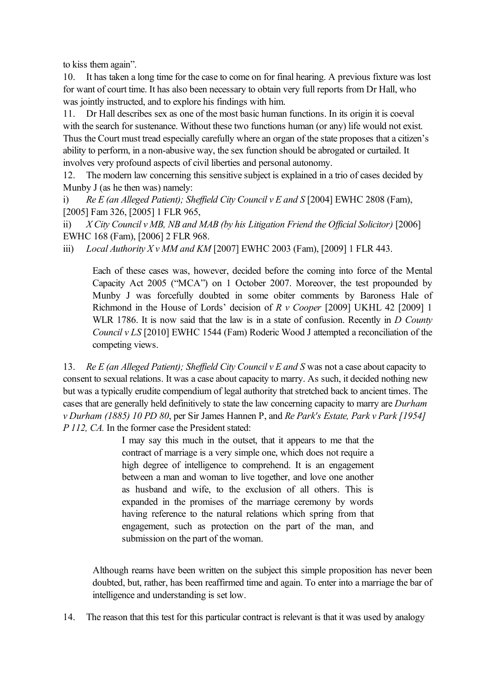to kiss them again".

10. It has taken a long time for the case to come on for final hearing. A previous fixture was lost for want of court time. It has also been necessary to obtain very full reports from Dr Hall, who was jointly instructed, and to explore his findings with him.

11. Dr Hall describes sex as one of the most basic human functions. In its origin it is coeval with the search for sustenance. Without these two functions human (or any) life would not exist. Thus the Court must tread especially carefully where an organ of the state proposes that a citizen's ability to perform, in a non-abusive way, the sex function should be abrogated or curtailed. It involves very profound aspects of civil liberties and personal autonomy.

12. The modern law concerning this sensitive subject is explained in a trio of cases decided by Munby J (as he then was) namely:

i) *Re E (an Alleged Patient); Sheffield City Council v E and S* [2004] EWHC 2808 (Fam), [2005] Fam 326, [2005] 1 FLR 965,

ii) *X City Council v MB, NB and MAB (by his Litigation Friend the Official Solicitor)* [2006] EWHC 168 (Fam), [2006] 2 FLR 968.

iii) *Local Authority X v MM and KM* [2007] EWHC 2003 (Fam), [2009] 1 FLR 443.

Each of these cases was, however, decided before the coming into force of the Mental Capacity Act 2005 ("MCA") on 1 October 2007. Moreover, the test propounded by Munby J was forcefully doubted in some obiter comments by Baroness Hale of Richmond in the House of Lords' decision of *R v Cooper* [2009] UKHL 42 [2009] 1 WLR 1786. It is now said that the law is in a state of confusion. Recently in *D County Council v LS* [2010] EWHC 1544 (Fam) Roderic Wood J attempted a reconciliation of the competing views.

13. *Re E (an Alleged Patient); Sheffield City Council v E and S* was not a case about capacity to consent to sexual relations. It was a case about capacity to marry. As such, it decided nothing new but was a typically erudite compendium of legal authority that stretched back to ancient times. The cases that are generally held definitively to state the law concerning capacity to marry are *Durham v Durham (1885) 10 PD 80*, per Sir James Hannen P, and *Re Park's Estate, Park v Park [1954] P 112, CA.* In the former case the President stated:

> I may say this much in the outset, that it appears to me that the contract of marriage is a very simple one, which does not require a high degree of intelligence to comprehend. It is an engagement between a man and woman to live together, and love one another as husband and wife, to the exclusion of all others. This is expanded in the promises of the marriage ceremony by words having reference to the natural relations which spring from that engagement, such as protection on the part of the man, and submission on the part of the woman.

Although reams have been written on the subject this simple proposition has never been doubted, but, rather, has been reaffirmed time and again. To enter into a marriage the bar of intelligence and understanding is set low.

14. The reason that this test for this particular contract is relevant is that it was used by analogy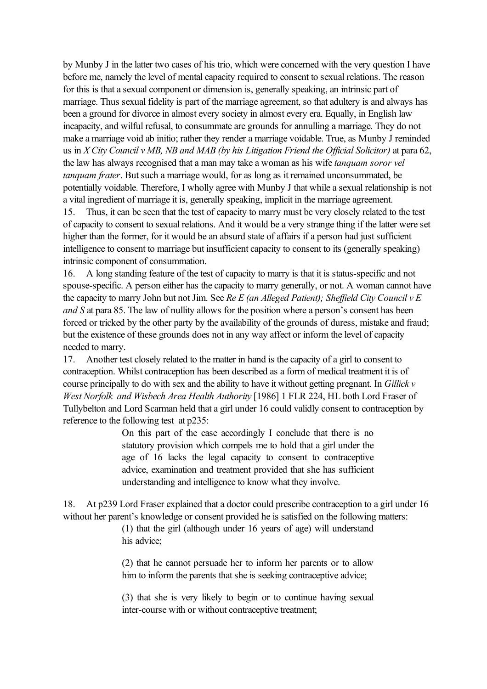by Munby J in the latter two cases of his trio, which were concerned with the very question I have before me, namely the level of mental capacity required to consent to sexual relations. The reason for this is that a sexual component or dimension is, generally speaking, an intrinsic part of marriage. Thus sexual fidelity is part of the marriage agreement, so that adultery is and always has been a ground for divorce in almost every society in almost every era. Equally, in English law incapacity, and wilful refusal, to consummate are grounds for annulling a marriage. They do not make a marriage void ab initio; rather they render a marriage voidable. True, as Munby J reminded us in *X City Council v MB, NB and MAB (by his Litigation Friend the Official Solicitor)* at para 62, the law has always recognised that a man may take a woman as his wife *tanquam soror vel tanquam frater*. But such a marriage would, for as long as it remained unconsummated, be potentially voidable. Therefore, I wholly agree with Munby J that while a sexual relationship is not a vital ingredient of marriage it is, generally speaking, implicit in the marriage agreement. 15. Thus, it can be seen that the test of capacity to marry must be very closely related to the test of capacity to consent to sexual relations. And it would be a very strange thing if the latter were set higher than the former, for it would be an absurd state of affairs if a person had just sufficient intelligence to consent to marriage but insufficient capacity to consent to its (generally speaking) intrinsic component of consummation.

16. A long standing feature of the test of capacity to marry is that it is status-specific and not spouse-specific. A person either has the capacity to marry generally, or not. A woman cannot have the capacity to marry John but not Jim. See *Re E (an Alleged Patient); Sheffield City Council v E and S* at para 85. The law of nullity allows for the position where a person's consent has been forced or tricked by the other party by the availability of the grounds of duress, mistake and fraud; but the existence of these grounds does not in any way affect or inform the level of capacity needed to marry.

17. Another test closely related to the matter in hand is the capacity of a girl to consent to contraception. Whilst contraception has been described as a form of medical treatment it is of course principally to do with sex and the ability to have it without getting pregnant. In *Gillick v West Norfolk and Wisbech Area Health Authority* [1986] 1 FLR 224, HL both Lord Fraser of Tullybelton and Lord Scarman held that a girl under 16 could validly consent to contraception by reference to the following test at p235:

> On this part of the case accordingly I conclude that there is no statutory provision which compels me to hold that a girl under the age of 16 lacks the legal capacity to consent to contraceptive advice, examination and treatment provided that she has sufficient understanding and intelligence to know what they involve.

18. At p239 Lord Fraser explained that a doctor could prescribe contraception to a girl under 16 without her parent's knowledge or consent provided he is satisfied on the following matters:

> (1) that the girl (although under 16 years of age) will understand his advice;

> (2) that he cannot persuade her to inform her parents or to allow him to inform the parents that she is seeking contraceptive advice;

> (3) that she is very likely to begin or to continue having sexual inter-course with or without contraceptive treatment;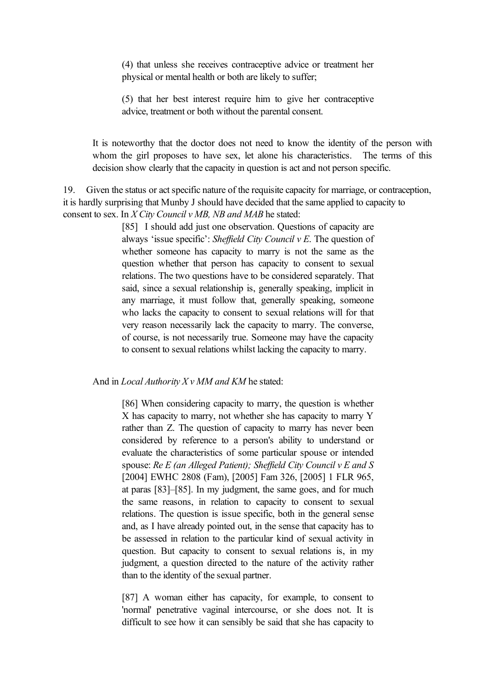(4) that unless she receives contraceptive advice or treatment her physical or mental health or both are likely to suffer;

(5) that her best interest require him to give her contraceptive advice, treatment or both without the parental consent.

It is noteworthy that the doctor does not need to know the identity of the person with whom the girl proposes to have sex, let alone his characteristics. The terms of this decision show clearly that the capacity in question is act and not person specific.

19. Given the status or act specific nature of the requisite capacity for marriage, or contraception, it is hardly surprising that Munby J should have decided that the same applied to capacity to consent to sex. In *X City Council v MB, NB and MAB* he stated:

> [85] I should add just one observation. Questions of capacity are always 'issue specific': *Sheffield City Council v E*. The question of whether someone has capacity to marry is not the same as the question whether that person has capacity to consent to sexual relations. The two questions have to be considered separately. That said, since a sexual relationship is, generally speaking, implicit in any marriage, it must follow that, generally speaking, someone who lacks the capacity to consent to sexual relations will for that very reason necessarily lack the capacity to marry. The converse, of course, is not necessarily true. Someone may have the capacity to consent to sexual relations whilst lacking the capacity to marry.

And in *Local Authority X v MM and KM* he stated:

[86] When considering capacity to marry, the question is whether X has capacity to marry, not whether she has capacity to marry Y rather than Z. The question of capacity to marry has never been considered by reference to a person's ability to understand or evaluate the characteristics of some particular spouse or intended spouse: *Re E (an Alleged Patient); Sheffield City Council v E and S* [2004] EWHC 2808 (Fam), [2005] Fam 326, [2005] 1 FLR 965, at paras [83]–[85]. In my judgment, the same goes, and for much the same reasons, in relation to capacity to consent to sexual relations. The question is issue specific, both in the general sense and, as I have already pointed out, in the sense that capacity has to be assessed in relation to the particular kind of sexual activity in question. But capacity to consent to sexual relations is, in my judgment, a question directed to the nature of the activity rather than to the identity of the sexual partner.

[87] A woman either has capacity, for example, to consent to 'normal' penetrative vaginal intercourse, or she does not. It is difficult to see how it can sensibly be said that she has capacity to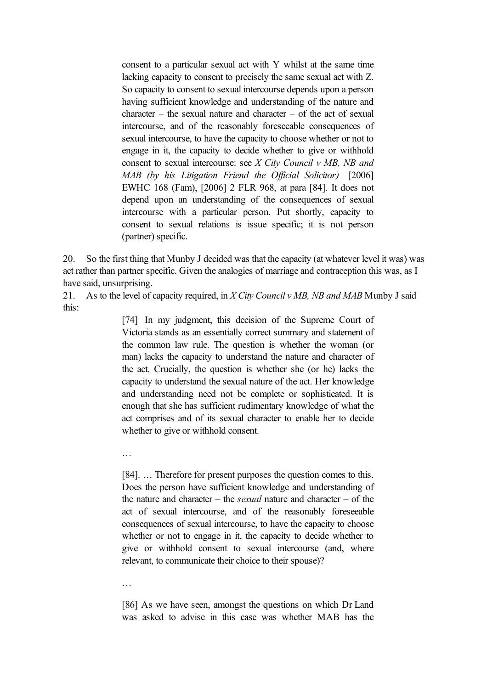consent to a particular sexual act with Y whilst at the same time lacking capacity to consent to precisely the same sexual act with Z. So capacity to consent to sexual intercourse depends upon a person having sufficient knowledge and understanding of the nature and  $character - the sexual nature and character - of the act of sexual$ intercourse, and of the reasonably foreseeable consequences of sexual intercourse, to have the capacity to choose whether or not to engage in it, the capacity to decide whether to give or withhold consent to sexual intercourse: see *X City Council v MB, NB and MAB (by his Litigation Friend the Official Solicitor)* [2006] EWHC 168 (Fam), [2006] 2 FLR 968, at para [84]. It does not depend upon an understanding of the consequences of sexual intercourse with a particular person. Put shortly, capacity to consent to sexual relations is issue specific; it is not person (partner) specific.

20. So the first thing that Munby J decided was that the capacity (at whatever level it was) was act rather than partner specific. Given the analogies of marriage and contraception this was, as I have said, unsurprising.

21. As to the level of capacity required, in *X City Council v MB, NB and MAB* Munby J said this:

> [74] In my judgment, this decision of the Supreme Court of Victoria stands as an essentially correct summary and statement of the common law rule. The question is whether the woman (or man) lacks the capacity to understand the nature and character of the act. Crucially, the question is whether she (or he) lacks the capacity to understand the sexual nature of the act. Her knowledge and understanding need not be complete or sophisticated. It is enough that she has sufficient rudimentary knowledge of what the act comprises and of its sexual character to enable her to decide whether to give or withhold consent.

…

[84]. … Therefore for present purposes the question comes to this. Does the person have sufficient knowledge and understanding of the nature and character – the *sexual* nature and character – of the act of sexual intercourse, and of the reasonably foreseeable consequences of sexual intercourse, to have the capacity to choose whether or not to engage in it, the capacity to decide whether to give or withhold consent to sexual intercourse (and, where relevant, to communicate their choice to their spouse)?

…

[86] As we have seen, amongst the questions on which Dr Land was asked to advise in this case was whether MAB has the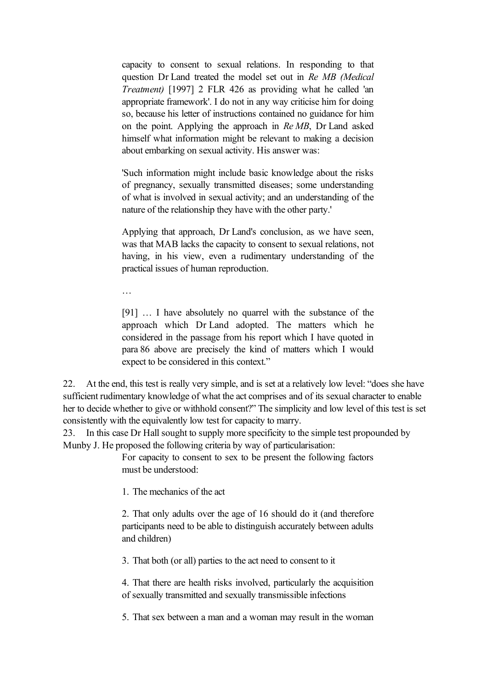capacity to consent to sexual relations. In responding to that question Dr Land treated the model set out in *Re MB (Medical Treatment)* [1997] 2 FLR 426 as providing what he called 'an appropriate framework'. I do not in any way criticise him for doing so, because his letter of instructions contained no guidance for him on the point. Applying the approach in *Re MB*, Dr Land asked himself what information might be relevant to making a decision about embarking on sexual activity. His answer was:

'Such information might include basic knowledge about the risks of pregnancy, sexually transmitted diseases; some understanding of what is involved in sexual activity; and an understanding of the nature of the relationship they have with the other party.'

Applying that approach, Dr Land's conclusion, as we have seen, was that MAB lacks the capacity to consent to sexual relations, not having, in his view, even a rudimentary understanding of the practical issues of human reproduction.

…

[91] … I have absolutely no quarrel with the substance of the approach which Dr Land adopted. The matters which he considered in the passage from his report which I have quoted in para 86 above are precisely the kind of matters which I would expect to be considered in this context."

22. At the end, this test is really very simple, and is set at a relatively low level: "does she have sufficient rudimentary knowledge of what the act comprises and of its sexual character to enable her to decide whether to give or withhold consent?" The simplicity and low level of this test is set consistently with the equivalently low test for capacity to marry.

23. In this case Dr Hall sought to supply more specificity to the simple test propounded by Munby J. He proposed the following criteria by way of particularisation:

> For capacity to consent to sex to be present the following factors must be understood:

1. The mechanics of the act

2. That only adults over the age of 16 should do it (and therefore participants need to be able to distinguish accurately between adults and children)

3. That both (or all) parties to the act need to consent to it

4. That there are health risks involved, particularly the acquisition of sexually transmitted and sexually transmissible infections

5. That sex between a man and a woman may result in the woman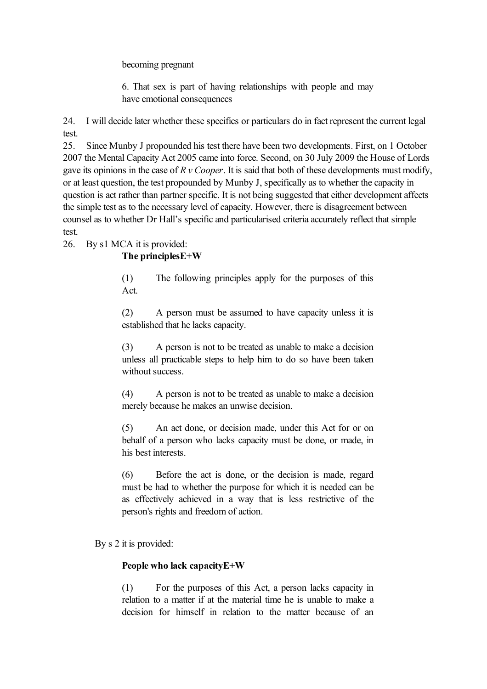becoming pregnant

6. That sex is part of having relationships with people and may have emotional consequences

24. I will decide later whether these specifics or particulars do in fact represent the current legal test.

25. Since Munby J propounded his test there have been two developments. First, on 1 October 2007 the Mental Capacity Act 2005 came into force. Second, on 30 July 2009 the House of Lords gave its opinions in the case of *R v Cooper*. It is said that both of these developments must modify, or at least question, the test propounded by Munby J, specifically as to whether the capacity in question is act rather than partner specific. It is not being suggested that either development affects the simple test as to the necessary level of capacity. However, there is disagreement between counsel as to whether Dr Hall's specific and particularised criteria accurately reflect that simple test.

26. By s1 MCA it is provided:

## **The principlesE+W**

(1) The following principles apply for the purposes of this Act.

(2) A person must be assumed to have capacity unless it is established that he lacks capacity.

(3) A person is not to be treated as unable to make a decision unless all practicable steps to help him to do so have been taken without success.

(4) A person is not to be treated as unable to make a decision merely because he makes an unwise decision.

(5) An act done, or decision made, under this Act for or on behalf of a person who lacks capacity must be done, or made, in his best interests.

(6) Before the act is done, or the decision is made, regard must be had to whether the purpose for which it is needed can be as effectively achieved in a way that is less restrictive of the person's rights and freedom of action.

By s 2 it is provided:

# **People who lack capacityE+W**

(1) For the purposes of this Act, a person lacks capacity in relation to a matter if at the material time he is unable to make a decision for himself in relation to the matter because of an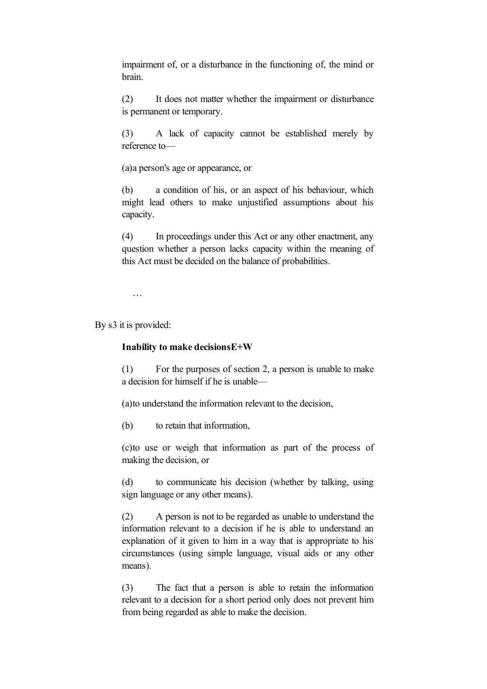impairment of, or a disturbance in the functioning of, the mind or brain.

(2) It does not matter whether the impairment or disturbance is permanent or temporary.

(3) A lack of capacity cannot be established merely by reference to—

(a)a person's age or appearance, or

(b) a condition of his, or an aspect of his behaviour, which might lead others to make unjustified assumptions about his capacity.

(4) In proceedings under this Act or any other enactment, any question whether a person lacks capacity within the meaning of this Act must be decided on the balance of probabilities.

…

By s3 it is provided:

### **Inability to make decisionsE+W**

(1) For the purposes of section 2, a person is unable to make a decision for himself if he is unable—

(a)to understand the information relevant to the decision,

(b) to retain that information,

(c)to use or weigh that information as part of the process of making the decision, or

(d) to communicate his decision (whether by talking, using sign language or any other means).

(2) A person is not to be regarded as unable to understand the information relevant to a decision if he is able to understand an explanation of it given to him in a way that is appropriate to his circumstances (using simple language, visual aids or any other means).

(3) The fact that a person is able to retain the information relevant to a decision for a short period only does not prevent him from being regarded as able to make the decision.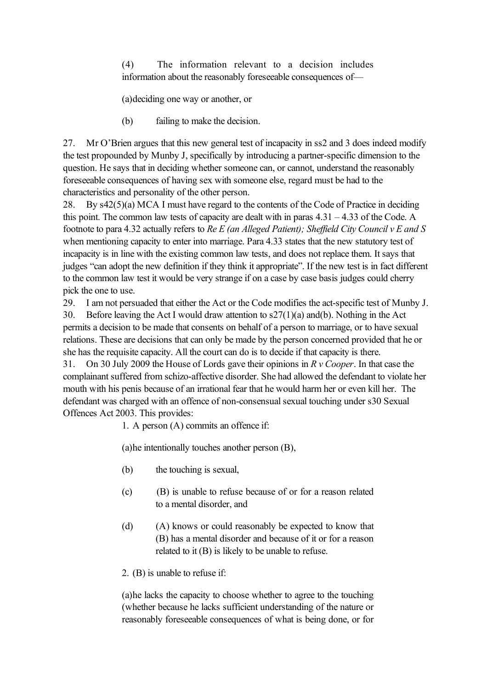(4) The information relevant to a decision includes information about the reasonably foreseeable consequences of—

(a)deciding one way or another, or

(b) failing to make the decision.

27. Mr O'Brien argues that this new general test of incapacity in ss2 and 3 does indeed modify the test propounded by Munby J, specifically by introducing a partner-specific dimension to the question. He says that in deciding whether someone can, or cannot, understand the reasonably foreseeable consequences of having sex with someone else, regard must be had to the characteristics and personality of the other person.

28. By s42(5)(a) MCA I must have regard to the contents of the Code of Practice in deciding this point. The common law tests of capacity are dealt with in paras  $4.31 - 4.33$  of the Code. A footnote to para 4.32 actually refers to *Re E (an Alleged Patient); Sheffield City Council v E and S* when mentioning capacity to enter into marriage. Para 4.33 states that the new statutory test of incapacity is in line with the existing common law tests, and does not replace them. It says that judges "can adopt the new definition if they think it appropriate". If the new test is in fact different to the common law test it would be very strange if on a case by case basis judges could cherry pick the one to use.

29. I am not persuaded that either the Act or the Code modifies the act-specific test of Munby J.

30. Before leaving the Act I would draw attention to s27(1)(a) and(b). Nothing in the Act permits a decision to be made that consents on behalf of a person to marriage, or to have sexual relations. These are decisions that can only be made by the person concerned provided that he or she has the requisite capacity. All the court can do is to decide if that capacity is there.

31. On 30 July 2009 the House of Lords gave their opinions in *R v Cooper*. In that case the complainant suffered from schizo-affective disorder. She had allowed the defendant to violate her mouth with his penis because of an irrational fear that he would harm her or even kill her. The defendant was charged with an offence of non-consensual sexual touching under s30 Sexual Offences Act 2003. This provides:

1. A person (A) commits an offence if:

(a)he intentionally touches another person (B),

- (b) the touching is sexual,
- (c) (B) is unable to refuse because of or for a reason related to a mental disorder, and
- (d) (A) knows or could reasonably be expected to know that (B) has a mental disorder and because of it or for a reason related to it (B) is likely to be unable to refuse.
- 2. (B) is unable to refuse if:

(a)he lacks the capacity to choose whether to agree to the touching (whether because he lacks sufficient understanding of the nature or reasonably foreseeable consequences of what is being done, or for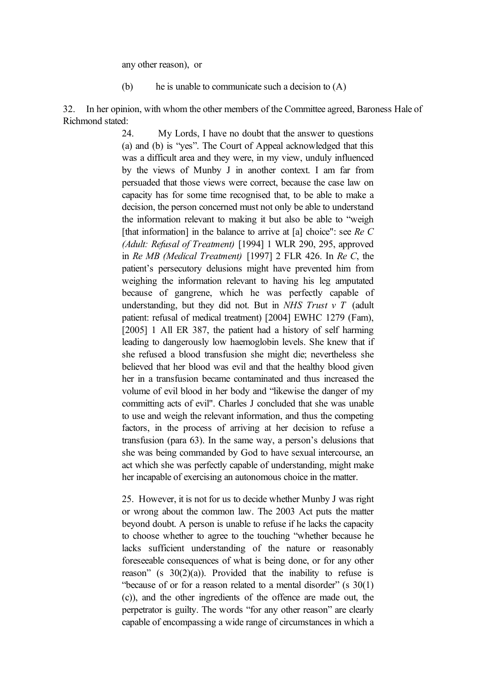any other reason), or

(b) he is unable to communicate such a decision to  $(A)$ 

32. In her opinion, with whom the other members of the Committee agreed, Baroness Hale of Richmond stated:

> 24. My Lords, I have no doubt that the answer to questions (a) and (b) is "yes". The Court of Appeal acknowledged that this was a difficult area and they were, in my view, unduly influenced by the views of Munby J in another context. I am far from persuaded that those views were correct, because the case law on capacity has for some time recognised that, to be able to make a decision, the person concerned must not only be able to understand the information relevant to making it but also be able to "weigh [that information] in the balance to arrive at [a] choice": see *Re C (Adult: Refusal of Treatment)* [1994] 1 WLR 290, 295, approved in *Re MB (Medical Treatment)* [1997] 2 FLR 426. In *Re C*, the patient's persecutory delusions might have prevented him from weighing the information relevant to having his leg amputated because of gangrene, which he was perfectly capable of understanding, but they did not. But in *NHS Trust v T* (adult patient: refusal of medical treatment) [2004] EWHC 1279 (Fam), [2005] 1 All ER 387, the patient had a history of self harming leading to dangerously low haemoglobin levels. She knew that if she refused a blood transfusion she might die; nevertheless she believed that her blood was evil and that the healthy blood given her in a transfusion became contaminated and thus increased the volume of evil blood in her body and "likewise the danger of my committing acts of evil". Charles J concluded that she was unable to use and weigh the relevant information, and thus the competing factors, in the process of arriving at her decision to refuse a transfusion (para 63). In the same way, a person's delusions that she was being commanded by God to have sexual intercourse, an act which she was perfectly capable of understanding, might make her incapable of exercising an autonomous choice in the matter.

> 25. However, it is not for us to decide whether Munby J was right or wrong about the common law. The 2003 Act puts the matter beyond doubt. A person is unable to refuse if he lacks the capacity to choose whether to agree to the touching "whether because he lacks sufficient understanding of the nature or reasonably foreseeable consequences of what is being done, or for any other reason" (s  $30(2)(a)$ ). Provided that the inability to refuse is "because of or for a reason related to a mental disorder" (s 30(1) (c)), and the other ingredients of the offence are made out, the perpetrator is guilty. The words "for any other reason" are clearly capable of encompassing a wide range of circumstances in which a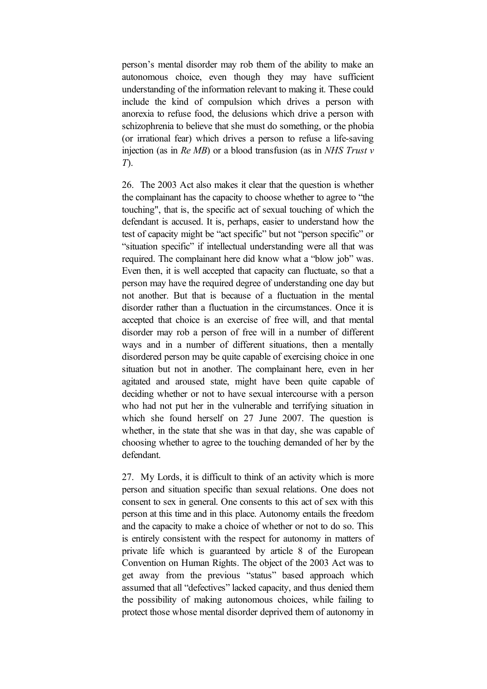person's mental disorder may rob them of the ability to make an autonomous choice, even though they may have sufficient understanding of the information relevant to making it. These could include the kind of compulsion which drives a person with anorexia to refuse food, the delusions which drive a person with schizophrenia to believe that she must do something, or the phobia (or irrational fear) which drives a person to refuse a life-saving injection (as in *Re MB*) or a blood transfusion (as in *NHS Trust v T*).

26. The 2003 Act also makes it clear that the question is whether the complainant has the capacity to choose whether to agree to "the touching", that is, the specific act of sexual touching of which the defendant is accused. It is, perhaps, easier to understand how the test of capacity might be "act specific" but not "person specific" or "situation specific" if intellectual understanding were all that was required. The complainant here did know what a "blow job" was. Even then, it is well accepted that capacity can fluctuate, so that a person may have the required degree of understanding one day but not another. But that is because of a fluctuation in the mental disorder rather than a fluctuation in the circumstances. Once it is accepted that choice is an exercise of free will, and that mental disorder may rob a person of free will in a number of different ways and in a number of different situations, then a mentally disordered person may be quite capable of exercising choice in one situation but not in another. The complainant here, even in her agitated and aroused state, might have been quite capable of deciding whether or not to have sexual intercourse with a person who had not put her in the vulnerable and terrifying situation in which she found herself on 27 June 2007. The question is whether, in the state that she was in that day, she was capable of choosing whether to agree to the touching demanded of her by the defendant.

27. My Lords, it is difficult to think of an activity which is more person and situation specific than sexual relations. One does not consent to sex in general. One consents to this act of sex with this person at this time and in this place. Autonomy entails the freedom and the capacity to make a choice of whether or not to do so. This is entirely consistent with the respect for autonomy in matters of private life which is guaranteed by article 8 of the European Convention on Human Rights. The object of the 2003 Act was to get away from the previous "status" based approach which assumed that all "defectives" lacked capacity, and thus denied them the possibility of making autonomous choices, while failing to protect those whose mental disorder deprived them of autonomy in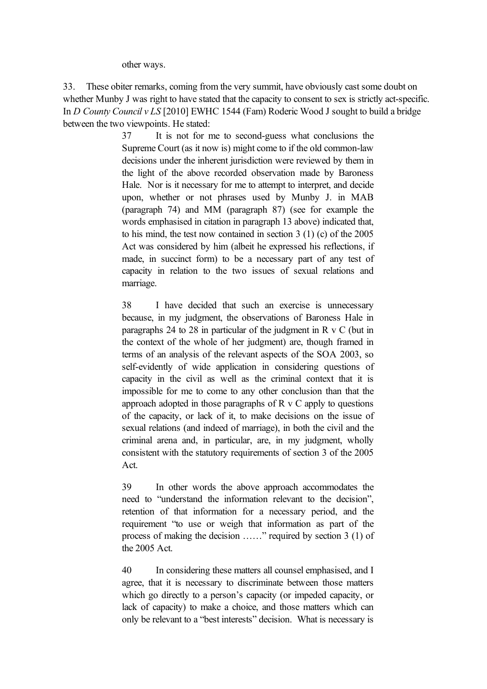other ways.

33. These obiter remarks, coming from the very summit, have obviously cast some doubt on whether Munby J was right to have stated that the capacity to consent to sex is strictly act-specific. In *D County Council v LS* [2010] EWHC 1544 (Fam) Roderic Wood J sought to build a bridge between the two viewpoints. He stated:

> 37 It is not for me to second-guess what conclusions the Supreme Court (as it now is) might come to if the old common-law decisions under the inherent jurisdiction were reviewed by them in the light of the above recorded observation made by Baroness Hale. Nor is it necessary for me to attempt to interpret, and decide upon, whether or not phrases used by Munby J. in MAB (paragraph 74) and MM (paragraph 87) (see for example the words emphasised in citation in paragraph 13 above) indicated that, to his mind, the test now contained in section 3 (1) (c) of the 2005 Act was considered by him (albeit he expressed his reflections, if made, in succinct form) to be a necessary part of any test of capacity in relation to the two issues of sexual relations and marriage.

> 38 I have decided that such an exercise is unnecessary because, in my judgment, the observations of Baroness Hale in paragraphs 24 to 28 in particular of the judgment in R v C (but in the context of the whole of her judgment) are, though framed in terms of an analysis of the relevant aspects of the SOA 2003, so self-evidently of wide application in considering questions of capacity in the civil as well as the criminal context that it is impossible for me to come to any other conclusion than that the approach adopted in those paragraphs of R v C apply to questions of the capacity, or lack of it, to make decisions on the issue of sexual relations (and indeed of marriage), in both the civil and the criminal arena and, in particular, are, in my judgment, wholly consistent with the statutory requirements of section 3 of the 2005 Act.

> 39 In other words the above approach accommodates the need to "understand the information relevant to the decision", retention of that information for a necessary period, and the requirement "to use or weigh that information as part of the process of making the decision ……" required by section 3 (1) of the 2005 Act.

> 40 In considering these matters all counsel emphasised, and I agree, that it is necessary to discriminate between those matters which go directly to a person's capacity (or impeded capacity, or lack of capacity) to make a choice, and those matters which can only be relevant to a "best interests" decision. What is necessary is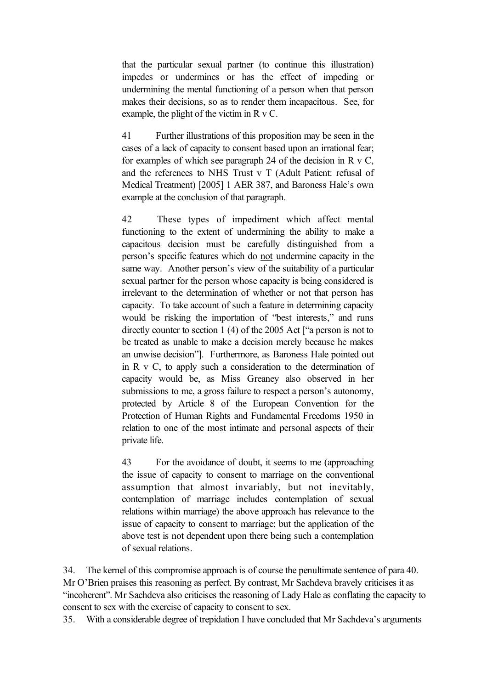that the particular sexual partner (to continue this illustration) impedes or undermines or has the effect of impeding or undermining the mental functioning of a person when that person makes their decisions, so as to render them incapacitous. See, for example, the plight of the victim in R v C.

41 Further illustrations of this proposition may be seen in the cases of a lack of capacity to consent based upon an irrational fear; for examples of which see paragraph 24 of the decision in R v C, and the references to NHS Trust v T (Adult Patient: refusal of Medical Treatment) [2005] 1 AER 387, and Baroness Hale's own example at the conclusion of that paragraph.

42 These types of impediment which affect mental functioning to the extent of undermining the ability to make a capacitous decision must be carefully distinguished from a person's specific features which do not undermine capacity in the same way. Another person's view of the suitability of a particular sexual partner for the person whose capacity is being considered is irrelevant to the determination of whether or not that person has capacity. To take account of such a feature in determining capacity would be risking the importation of "best interests," and runs directly counter to section 1 (4) of the 2005 Act ["a person is not to be treated as unable to make a decision merely because he makes an unwise decision"]. Furthermore, as Baroness Hale pointed out in R v C, to apply such a consideration to the determination of capacity would be, as Miss Greaney also observed in her submissions to me, a gross failure to respect a person's autonomy, protected by Article 8 of the European Convention for the Protection of Human Rights and Fundamental Freedoms 1950 in relation to one of the most intimate and personal aspects of their private life.

43 For the avoidance of doubt, it seems to me (approaching the issue of capacity to consent to marriage on the conventional assumption that almost invariably, but not inevitably, contemplation of marriage includes contemplation of sexual relations within marriage) the above approach has relevance to the issue of capacity to consent to marriage; but the application of the above test is not dependent upon there being such a contemplation of sexual relations.

34. The kernel of this compromise approach is of course the penultimate sentence of para 40. Mr O'Brien praises this reasoning as perfect. By contrast, Mr Sachdeva bravely criticises it as "incoherent". Mr Sachdeva also criticises the reasoning of Lady Hale as conflating the capacity to consent to sex with the exercise of capacity to consent to sex.

35. With a considerable degree of trepidation I have concluded that Mr Sachdeva's arguments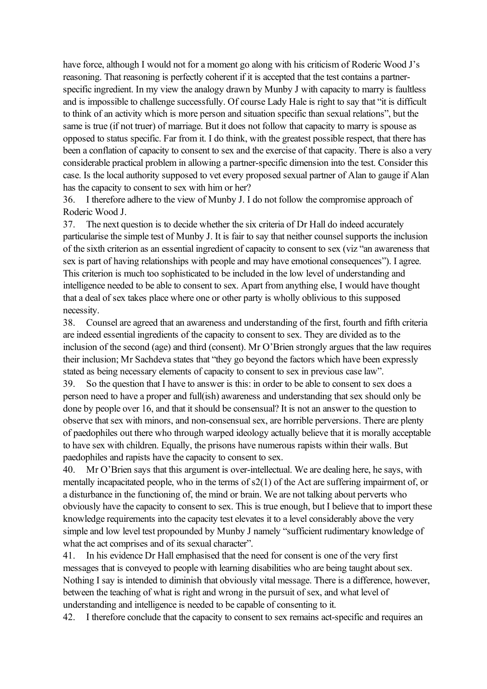have force, although I would not for a moment go along with his criticism of Roderic Wood J's reasoning. That reasoning is perfectly coherent if it is accepted that the test contains a partnerspecific ingredient. In my view the analogy drawn by Munby J with capacity to marry is faultless and is impossible to challenge successfully. Of course Lady Hale is right to say that "it is difficult to think of an activity which is more person and situation specific than sexual relations", but the same is true (if not truer) of marriage. But it does not follow that capacity to marry is spouse as opposed to status specific. Far from it. I do think, with the greatest possible respect, that there has been a conflation of capacity to consent to sex and the exercise of that capacity. There is also a very considerable practical problem in allowing a partner-specific dimension into the test. Consider this case. Is the local authority supposed to vet every proposed sexual partner of Alan to gauge if Alan has the capacity to consent to sex with him or her?

36. I therefore adhere to the view of Munby J. I do not follow the compromise approach of Roderic Wood J.

37. The next question is to decide whether the six criteria of Dr Hall do indeed accurately particularise the simple test of Munby J. It is fair to say that neither counsel supports the inclusion of the sixth criterion as an essential ingredient of capacity to consent to sex (viz "an awareness that sex is part of having relationships with people and may have emotional consequences"). I agree. This criterion is much too sophisticated to be included in the low level of understanding and intelligence needed to be able to consent to sex. Apart from anything else, I would have thought that a deal of sex takes place where one or other party is wholly oblivious to this supposed necessity.

38. Counsel are agreed that an awareness and understanding of the first, fourth and fifth criteria are indeed essential ingredients of the capacity to consent to sex. They are divided as to the inclusion of the second (age) and third (consent). Mr O'Brien strongly argues that the law requires their inclusion; Mr Sachdeva states that "they go beyond the factors which have been expressly stated as being necessary elements of capacity to consent to sex in previous case law".

39. So the question that I have to answer is this: in order to be able to consent to sex does a person need to have a proper and full(ish) awareness and understanding that sex should only be done by people over 16, and that it should be consensual? It is not an answer to the question to observe that sex with minors, and non-consensual sex, are horrible perversions. There are plenty of paedophiles out there who through warped ideology actually believe that it is morally acceptable to have sex with children. Equally, the prisons have numerous rapists within their walls. But paedophiles and rapists have the capacity to consent to sex.

40. Mr O'Brien says that this argument is over-intellectual. We are dealing here, he says, with mentally incapacitated people, who in the terms of s2(1) of the Act are suffering impairment of, or a disturbance in the functioning of, the mind or brain. We are not talking about perverts who obviously have the capacity to consent to sex. This is true enough, but I believe that to import these knowledge requirements into the capacity test elevates it to a level considerably above the very simple and low level test propounded by Munby J namely "sufficient rudimentary knowledge of what the act comprises and of its sexual character".

41. In his evidence Dr Hall emphasised that the need for consent is one of the very first messages that is conveyed to people with learning disabilities who are being taught about sex. Nothing I say is intended to diminish that obviously vital message. There is a difference, however, between the teaching of what is right and wrong in the pursuit of sex, and what level of understanding and intelligence is needed to be capable of consenting to it.

42. I therefore conclude that the capacity to consent to sex remains act-specific and requires an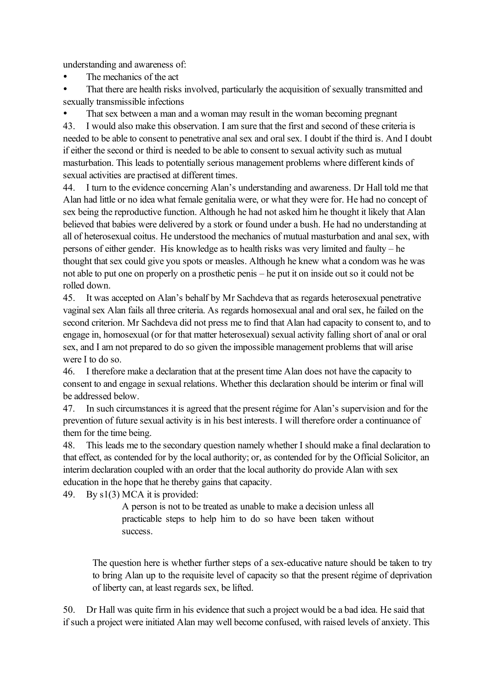understanding and awareness of:

- The mechanics of the act
- That there are health risks involved, particularly the acquisition of sexually transmitted and sexually transmissible infections

That sex between a man and a woman may result in the woman becoming pregnant

43. I would also make this observation. I am sure that the first and second of these criteria is needed to be able to consent to penetrative anal sex and oral sex. I doubt if the third is. And I doubt if either the second or third is needed to be able to consent to sexual activity such as mutual masturbation. This leads to potentially serious management problems where different kinds of sexual activities are practised at different times.

44. I turn to the evidence concerning Alan's understanding and awareness. Dr Hall told me that Alan had little or no idea what female genitalia were, or what they were for. He had no concept of sex being the reproductive function. Although he had not asked him he thought it likely that Alan believed that babies were delivered by a stork or found under a bush. He had no understanding at all of heterosexual coitus. He understood the mechanics of mutual masturbation and anal sex, with persons of either gender. His knowledge as to health risks was very limited and faulty – he thought that sex could give you spots or measles. Although he knew what a condom was he was not able to put one on properly on a prosthetic penis – he put it on inside out so it could not be rolled down.

45. It was accepted on Alan's behalf by Mr Sachdeva that as regards heterosexual penetrative vaginal sex Alan fails all three criteria. As regards homosexual anal and oral sex, he failed on the second criterion. Mr Sachdeva did not press me to find that Alan had capacity to consent to, and to engage in, homosexual (or for that matter heterosexual) sexual activity falling short of anal or oral sex, and I am not prepared to do so given the impossible management problems that will arise were I to do so.

46. I therefore make a declaration that at the present time Alan does not have the capacity to consent to and engage in sexual relations. Whether this declaration should be interim or final will be addressed below.

47. In such circumstances it is agreed that the present régime for Alan's supervision and for the prevention of future sexual activity is in his best interests. I will therefore order a continuance of them for the time being.

48. This leads me to the secondary question namely whether I should make a final declaration to that effect, as contended for by the local authority; or, as contended for by the Official Solicitor, an interim declaration coupled with an order that the local authority do provide Alan with sex education in the hope that he thereby gains that capacity.

49. By s1(3) MCA it is provided:

A person is not to be treated as unable to make a decision unless all practicable steps to help him to do so have been taken without success.

The question here is whether further steps of a sex-educative nature should be taken to try to bring Alan up to the requisite level of capacity so that the present régime of deprivation of liberty can, at least regards sex, be lifted.

50. Dr Hall was quite firm in his evidence that such a project would be a bad idea. He said that if such a project were initiated Alan may well become confused, with raised levels of anxiety. This